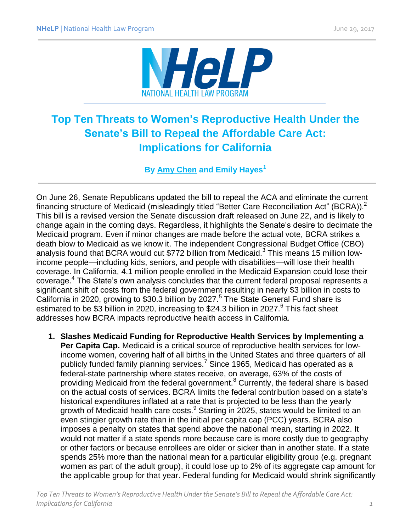

## **Top Ten Threats to Women's Reproductive Health Under the Senate's Bill to Repeal the Affordable Care Act: Implications for California**

**By [Amy Chen](http://www.healthlaw.org/about/staff/396-amy-chen) and Emily Hayes<sup>1</sup>**

On June 26, Senate Republicans updated the bill to repeal the ACA and eliminate the current financing structure of Medicaid (misleadingly titled "Better Care Reconciliation Act" (BCRA)).<sup>2</sup> This bill is a revised version the Senate discussion draft released on June 22, and is likely to change again in the coming days. Regardless, it highlights the Senate's desire to decimate the Medicaid program. Even if minor changes are made before the actual vote, BCRA strikes a death blow to Medicaid as we know it. The independent Congressional Budget Office (CBO) analysis found that BCRA would cut \$772 billion from Medicaid.<sup>3</sup> This means 15 million lowincome people—including kids, seniors, and people with disabilities—will lose their health coverage. In California, 4.1 million people enrolled in the Medicaid Expansion could lose their coverage.<sup>4</sup> The State's own analysis concludes that the current federal proposal represents a significant shift of costs from the federal government resulting in nearly \$3 billion in costs to California in 2020, growing to \$30.3 billion by 2027.<sup>5</sup> The State General Fund share is estimated to be \$3 billion in 2020, increasing to \$24.3 billion in 2027.<sup>6</sup> This fact sheet addresses how BCRA impacts reproductive health access in California.

**1. Slashes Medicaid Funding for Reproductive Health Services by Implementing a Per Capita Cap.** Medicaid is a critical source of reproductive health services for lowincome women, covering half of all births in the United States and three quarters of all publicly funded family planning services.<sup>7</sup> Since 1965, Medicaid has operated as a federal-state partnership where states receive, on average, 63% of the costs of providing Medicaid from the federal government.<sup>8</sup> Currently, the federal share is based on the actual costs of services. BCRA limits the federal contribution based on a state's historical expenditures inflated at a rate that is projected to be less than the yearly growth of Medicaid health care costs. $9$  Starting in 2025, states would be limited to an even stingier growth rate than in the initial per capita cap (PCC) years. BCRA also imposes a penalty on states that spend above the national mean, starting in 2022. It would not matter if a state spends more because care is more costly due to geography or other factors or because enrollees are older or sicker than in another state. If a state spends 25% more than the national mean for a particular eligibility group (e.g. pregnant women as part of the adult group), it could lose up to 2% of its aggregate cap amount for the applicable group for that year. Federal funding for Medicaid would shrink significantly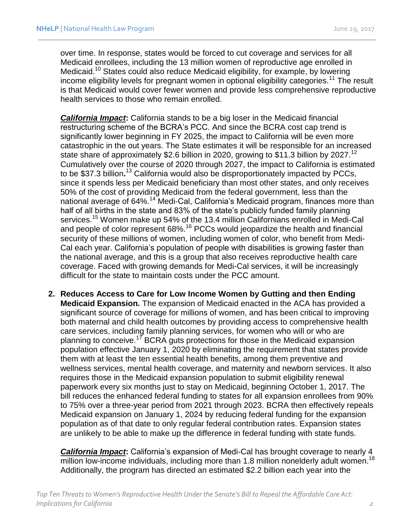over time. In response, states would be forced to cut coverage and services for all Medicaid enrollees, including the 13 million women of reproductive age enrolled in Medicaid.<sup>10</sup> States could also reduce Medicaid eligibility, for example, by lowering income eligibility levels for pregnant women in optional eligibility categories.<sup>11</sup> The result is that Medicaid would cover fewer women and provide less comprehensive reproductive health services to those who remain enrolled.

*California Impact***:** California stands to be a big loser in the Medicaid financial restructuring scheme of the BCRA's PCC. And since the BCRA cost cap trend is significantly lower beginning in FY 2025, the impact to California will be even more catastrophic in the out years. The State estimates it will be responsible for an increased state share of approximately \$2.6 billion in 2020, growing to \$11.3 billion by 2027.<sup>12</sup> Cumulatively over the course of 2020 through 2027, the impact to California is estimated to be \$37.3 billion**.** <sup>13</sup> California would also be disproportionately impacted by PCCs, since it spends less per Medicaid beneficiary than most other states, and only receives 50% of the cost of providing Medicaid from the federal government, less than the national average of 64%.<sup>14</sup> Medi-Cal, California's Medicaid program, finances more than half of all births in the state and 83% of the state's publicly funded family planning services.<sup>15</sup> Women make up 54% of the 13.4 million Californians enrolled in Medi-Cal and people of color represent 68%.<sup>16</sup> PCCs would jeopardize the health and financial security of these millions of women, including women of color, who benefit from Medi-Cal each year. California's population of people with disabilities is growing faster than the national average, and this is a group that also receives reproductive health care coverage. Faced with growing demands for Medi-Cal services, it will be increasingly difficult for the state to maintain costs under the PCC amount.

**2. Reduces Access to Care for Low Income Women by Gutting and then Ending Medicaid Expansion***.* The expansion of Medicaid enacted in the ACA has provided a significant source of coverage for millions of women, and has been critical to improving both maternal and child health outcomes by providing access to comprehensive health care services, including family planning services, for women who will or who are planning to conceive.<sup>17</sup> BCRA guts protections for those in the Medicaid expansion population effective January 1, 2020 by eliminating the requirement that states provide them with at least the ten essential health benefits, among them preventive and wellness services, mental health coverage, and maternity and newborn services. It also requires those in the Medicaid expansion population to submit eligibility renewal paperwork every six months just to stay on Medicaid, beginning October 1, 2017. The bill reduces the enhanced federal funding to states for all expansion enrollees from 90% to 75% over a three-year period from 2021 through 2023. BCRA then effectively repeals Medicaid expansion on January 1, 2024 by reducing federal funding for the expansion population as of that date to only regular federal contribution rates. Expansion states are unlikely to be able to make up the difference in federal funding with state funds.

*California Impact***:** California's expansion of Medi-Cal has brought coverage to nearly 4 million low-income individuals, including more than 1.8 million nonelderly adult women.<sup>18</sup> Additionally, the program has directed an estimated \$2.2 billion each year into the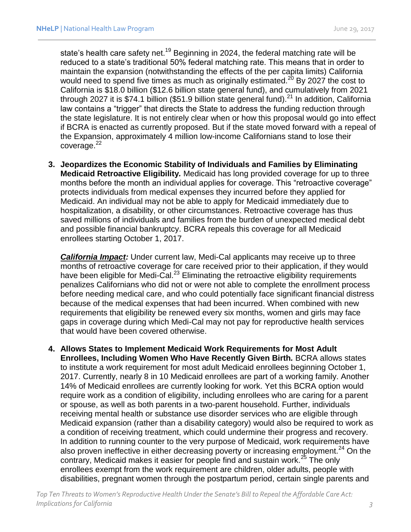state's health care safety net.<sup>19</sup> Beginning in 2024, the federal matching rate will be reduced to a state's traditional 50% federal matching rate. This means that in order to maintain the expansion (notwithstanding the effects of the per capita limits) California would need to spend five times as much as originally estimated.<sup>20</sup> By 2027 the cost to California is \$18.0 billion (\$12.6 billion state general fund), and cumulatively from 2021 through 2027 it is \$74.1 billion (\$51.9 billion state general fund).<sup>21</sup> In addition, California law contains a "trigger" that directs the State to address the funding reduction through the state legislature. It is not entirely clear when or how this proposal would go into effect if BCRA is enacted as currently proposed. But if the state moved forward with a repeal of the Expansion, approximately 4 million low-income Californians stand to lose their  $covera$ ge. $^{22}$ 

**3. Jeopardizes the Economic Stability of Individuals and Families by Eliminating Medicaid Retroactive Eligibility***.* Medicaid has long provided coverage for up to three months before the month an individual applies for coverage. This "retroactive coverage" protects individuals from medical expenses they incurred before they applied for Medicaid. An individual may not be able to apply for Medicaid immediately due to hospitalization, a disability, or other circumstances. Retroactive coverage has thus saved millions of individuals and families from the burden of unexpected medical debt and possible financial bankruptcy. BCRA repeals this coverage for all Medicaid enrollees starting October 1, 2017.

*California Impact:* Under current law, Medi-Cal applicants may receive up to three months of retroactive coverage for care received prior to their application, if they would have been eligible for Medi-Cal.<sup>23</sup> Eliminating the retroactive eligibility requirements penalizes Californians who did not or were not able to complete the enrollment process before needing medical care, and who could potentially face significant financial distress because of the medical expenses that had been incurred. When combined with new requirements that eligibility be renewed every six months, women and girls may face gaps in coverage during which Medi-Cal may not pay for reproductive health services that would have been covered otherwise.

**4. Allows States to Implement Medicaid Work Requirements for Most Adult Enrollees, Including Women Who Have Recently Given Birth***.* BCRA allows states to institute a work requirement for most adult Medicaid enrollees beginning October 1, 2017. Currently, nearly 8 in 10 Medicaid enrollees are part of a working family. Another 14% of Medicaid enrollees are currently looking for work. Yet this BCRA option would require work as a condition of eligibility, including enrollees who are caring for a parent or spouse, as well as both parents in a two-parent household. Further, individuals receiving mental health or substance use disorder services who are eligible through Medicaid expansion (rather than a disability category) would also be required to work as a condition of receiving treatment, which could undermine their progress and recovery. In addition to running counter to the very purpose of Medicaid, work requirements have also proven ineffective in either decreasing poverty or increasing employment.<sup>24</sup> On the contrary, Medicaid makes it easier for people find and sustain work.<sup>25</sup> The only enrollees exempt from the work requirement are children, older adults, people with disabilities, pregnant women through the postpartum period, certain single parents and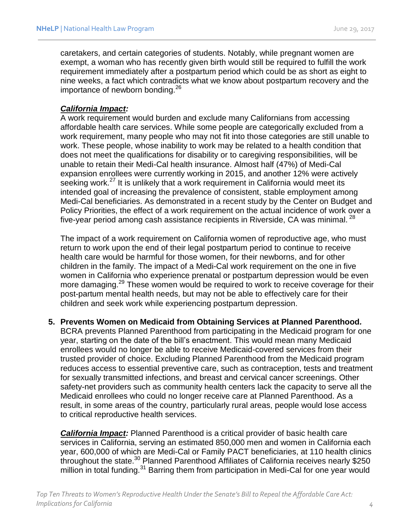caretakers, and certain categories of students. Notably, while pregnant women are exempt, a woman who has recently given birth would still be required to fulfill the work requirement immediately after a postpartum period which could be as short as eight to nine weeks, a fact which contradicts what we know about postpartum recovery and the importance of newborn bonding.<sup>26</sup>

## *California Impact:*

A work requirement would burden and exclude many Californians from accessing affordable health care services. While some people are categorically excluded from a work requirement, many people who may not fit into those categories are still unable to work. These people, whose inability to work may be related to a health condition that does not meet the qualifications for disability or to caregiving responsibilities, will be unable to retain their Medi-Cal health insurance. Almost half (47%) of Medi-Cal expansion enrollees were currently working in 2015, and another 12% were actively seeking work.<sup>27</sup> It is unlikely that a work requirement in California would meet its intended goal of increasing the prevalence of consistent, stable employment among Medi-Cal beneficiaries. As demonstrated in a recent study by the Center on Budget and Policy Priorities, the effect of a work requirement on the actual incidence of work over a five-year period among cash assistance recipients in Riverside, CA was minimal. <sup>28</sup>

The impact of a work requirement on California women of reproductive age, who must return to work upon the end of their legal postpartum period to continue to receive health care would be harmful for those women, for their newborns, and for other children in the family. The impact of a Medi-Cal work requirement on the one in five women in California who experience prenatal or postpartum depression would be even more damaging.<sup>29</sup> These women would be required to work to receive coverage for their post-partum mental health needs, but may not be able to effectively care for their children and seek work while experiencing postpartum depression.

**5. Prevents Women on Medicaid from Obtaining Services at Planned Parenthood***.*  BCRA prevents Planned Parenthood from participating in the Medicaid program for one year, starting on the date of the bill's enactment. This would mean many Medicaid enrollees would no longer be able to receive Medicaid-covered services from their trusted provider of choice. Excluding Planned Parenthood from the Medicaid program reduces access to essential preventive care, such as contraception, tests and treatment for sexually transmitted infections, and breast and cervical cancer screenings. Other safety-net providers such as community health centers lack the capacity to serve all the Medicaid enrollees who could no longer receive care at Planned Parenthood. As a result, in some areas of the country, particularly rural areas, people would lose access to critical reproductive health services.

*California Impact:* Planned Parenthood is a critical provider of basic health care services in California, serving an estimated 850,000 men and women in California each year, 600,000 of which are Medi-Cal or Family PACT beneficiaries, at 110 health clinics throughout the state.<sup>30</sup> Planned Parenthood Affiliates of California receives nearly \$250 million in total funding.<sup>31</sup> Barring them from participation in Medi-Cal for one year would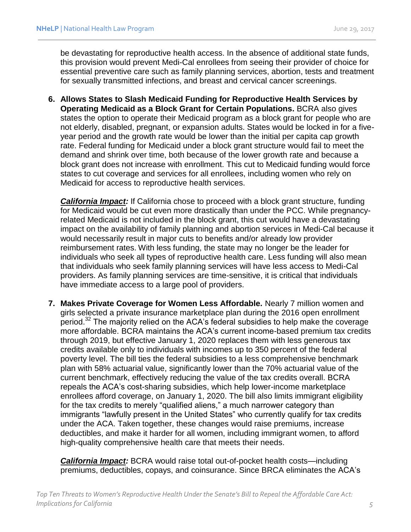be devastating for reproductive health access. In the absence of additional state funds, this provision would prevent Medi-Cal enrollees from seeing their provider of choice for essential preventive care such as family planning services, abortion, tests and treatment for sexually transmitted infections, and breast and cervical cancer screenings.

**6. Allows States to Slash Medicaid Funding for Reproductive Health Services by Operating Medicaid as a Block Grant for Certain Populations.** BCRA also gives states the option to operate their Medicaid program as a block grant for people who are not elderly, disabled, pregnant, or expansion adults. States would be locked in for a fiveyear period and the growth rate would be lower than the initial per capita cap growth rate. Federal funding for Medicaid under a block grant structure would fail to meet the demand and shrink over time, both because of the lower growth rate and because a block grant does not increase with enrollment. This cut to Medicaid funding would force states to cut coverage and services for all enrollees, including women who rely on Medicaid for access to reproductive health services.

*California Impact:* If California chose to proceed with a block grant structure, funding for Medicaid would be cut even more drastically than under the PCC. While pregnancyrelated Medicaid is not included in the block grant, this cut would have a devastating impact on the availability of family planning and abortion services in Medi-Cal because it would necessarily result in major cuts to benefits and/or already low provider reimbursement rates. With less funding, the state may no longer be the leader for individuals who seek all types of reproductive health care. Less funding will also mean that individuals who seek family planning services will have less access to Medi-Cal providers. As family planning services are time-sensitive, it is critical that individuals have immediate access to a large pool of providers.

**7. Makes Private Coverage for Women Less Affordable***.* Nearly 7 million women and girls selected a private insurance marketplace plan during the 2016 open enrollment period.<sup>32</sup> The majority relied on the ACA's federal subsidies to help make the coverage more affordable. BCRA maintains the ACA's current income-based premium tax credits through 2019, but effective January 1, 2020 replaces them with less generous tax credits available only to individuals with incomes up to 350 percent of the federal poverty level. The bill ties the federal subsidies to a less comprehensive benchmark plan with 58% actuarial value, significantly lower than the 70% actuarial value of the current benchmark, effectively reducing the value of the tax credits overall. BCRA repeals the ACA's cost-sharing subsidies, which help lower-income marketplace enrollees afford coverage, on January 1, 2020. The bill also limits immigrant eligibility for the tax credits to merely "qualified aliens," a much narrower category than immigrants "lawfully present in the United States" who currently qualify for tax credits under the ACA. Taken together, these changes would raise premiums, increase deductibles, and make it harder for all women, including immigrant women, to afford high-quality comprehensive health care that meets their needs.

*California Impact:* BCRA would raise total out-of-pocket health costs—including premiums, deductibles, copays, and coinsurance. Since BRCA eliminates the ACA's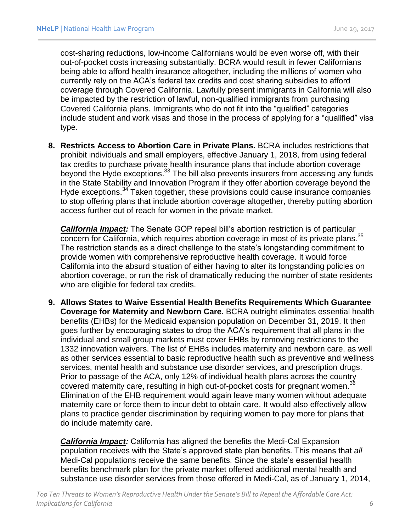cost-sharing reductions, low-income Californians would be even worse off, with their out-of-pocket costs increasing substantially. BCRA would result in fewer Californians being able to afford health insurance altogether, including the millions of women who currently rely on the ACA's federal tax credits and cost sharing subsidies to afford coverage through Covered California. Lawfully present immigrants in California will also be impacted by the restriction of lawful, non-qualified immigrants from purchasing Covered California plans. Immigrants who do not fit into the "qualified" categories include student and work visas and those in the process of applying for a "qualified" visa type.

**8. Restricts Access to Abortion Care in Private Plans***.* BCRA includes restrictions that prohibit individuals and small employers, effective January 1, 2018, from using federal tax credits to purchase private health insurance plans that include abortion coverage beyond the Hyde exceptions.<sup>33</sup> The bill also prevents insurers from accessing any funds in the State Stability and Innovation Program if they offer abortion coverage beyond the Hyde exceptions.<sup>34</sup> Taken together, these provisions could cause insurance companies to stop offering plans that include abortion coverage altogether, thereby putting abortion access further out of reach for women in the private market.

**California Impact:** The Senate GOP repeal bill's abortion restriction is of particular concern for California, which requires abortion coverage in most of its private plans.<sup>35</sup> The restriction stands as a direct challenge to the state's longstanding commitment to provide women with comprehensive reproductive health coverage. It would force California into the absurd situation of either having to alter its longstanding policies on abortion coverage, or run the risk of dramatically reducing the number of state residents who are eligible for federal tax credits.

**9. Allows States to Waive Essential Health Benefits Requirements Which Guarantee Coverage for Maternity and Newborn Care***.* BCRA outright eliminates essential health benefits (EHBs) for the Medicaid expansion population on December 31, 2019. It then goes further by encouraging states to drop the ACA's requirement that all plans in the individual and small group markets must cover EHBs by removing restrictions to the 1332 innovation waivers. The list of EHBs includes maternity and newborn care, as well as other services essential to basic reproductive health such as preventive and wellness services, mental health and substance use disorder services, and prescription drugs. Prior to passage of the ACA, only 12% of individual health plans across the country covered maternity care, resulting in high out-of-pocket costs for pregnant women.<sup>36</sup> Elimination of the EHB requirement would again leave many women without adequate maternity care or force them to incur debt to obtain care. It would also effectively allow plans to practice gender discrimination by requiring women to pay more for plans that do include maternity care.

*California Impact:* California has aligned the benefits the Medi-Cal Expansion population receives with the State's approved state plan benefits. This means that *all* Medi-Cal populations receive the same benefits. Since the state's essential health benefits benchmark plan for the private market offered additional mental health and substance use disorder services from those offered in Medi-Cal, as of January 1, 2014,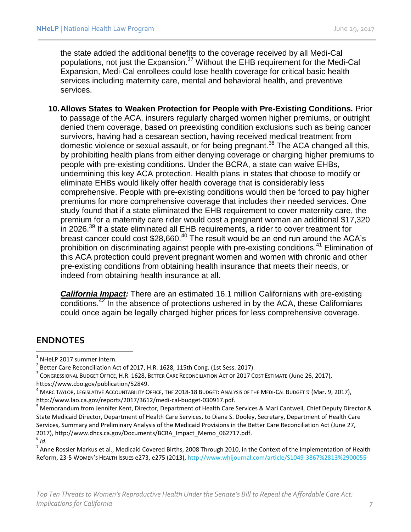the state added the additional benefits to the coverage received by all Medi-Cal populations, not just the Expansion.<sup>37</sup> Without the EHB requirement for the Medi-Cal Expansion, Medi-Cal enrollees could lose health coverage for critical basic health services including maternity care, mental and behavioral health, and preventive services.

**10.Allows States to Weaken Protection for People with Pre-Existing Conditions***.* Prior to passage of the ACA, insurers regularly charged women higher premiums, or outright denied them coverage, based on preexisting condition exclusions such as being cancer survivors, having had a cesarean section, having received medical treatment from domestic violence or sexual assault, or for being pregnant.<sup>38</sup> The ACA changed all this, by prohibiting health plans from either denying coverage or charging higher premiums to people with pre-existing conditions. Under the BCRA, a state can waive EHBs, undermining this key ACA protection. Health plans in states that choose to modify or eliminate EHBs would likely offer health coverage that is considerably less comprehensive. People with pre-existing conditions would then be forced to pay higher premiums for more comprehensive coverage that includes their needed services. One study found that if a state eliminated the EHB requirement to cover maternity care, the premium for a maternity care rider would cost a pregnant woman an additional \$17,320 in 2026.<sup>39</sup> If a state eliminated all EHB requirements, a rider to cover treatment for breast cancer could cost \$28,660.<sup>40</sup> The result would be an end run around the ACA's prohibition on discriminating against people with pre-existing conditions.<sup>41</sup> Elimination of this ACA protection could prevent pregnant women and women with chronic and other pre-existing conditions from obtaining health insurance that meets their needs, or indeed from obtaining health insurance at all.

*California Impact:* There are an estimated 16.1 million Californians with pre-existing conditions.<sup>42</sup> In the absence of protections ushered in by the ACA, these Californians could once again be legally charged higher prices for less comprehensive coverage.

## **ENDNOTES**

 $\overline{\phantom{a}}$ 

 $<sup>1</sup>$  NHeLP 2017 summer intern.</sup>

<sup>2</sup> Better Care Reconciliation Act of 2017, H.R. 1628, 115th Cong. (1st Sess. 2017).

 $^{\rm 3}$  Congressional Budget Office, H.R. 1628, Better Care Reconciliation Act of 2017 Cost Estimate (June 26, 2017), https://www.cbo.gov/publication/52849.

 $^4$  Marc Taylor, Legislative Accountability Office, The 2018-18 Budget: Analysis of the Medi-Cal Budget 9 (Mar. 9, 2017), http://www.lao.ca.gov/reports/2017/3612/medi-cal-budget-030917.pdf.

<sup>5</sup> Memorandum from Jennifer Kent, Director, Department of Health Care Services & Mari Cantwell, Chief Deputy Director & State Medicaid Director, Department of Health Care Services, to Diana S. Dooley, Secretary, Department of Health Care Services, Summary and Preliminary Analysis of the Medicaid Provisions in the Better Care Reconciliation Act (June 27, 2017), http://www.dhcs.ca.gov/Documents/BCRA\_Impact\_Memo\_062717.pdf. 6 *Id.*

 $^7$  Anne Rossier Markus et al., Medicaid Covered Births, 2008 Through 2010, in the Context of the Implementation of Health Reform, 23-5 WOMEN'S HEALTH ISSUES e273, e275 (2013)[, http://www.whijournal.com/article/S1049-3867%2813%2900055-](http://www.whijournal.com/article/S1049-3867%2813%2900055-8/pdf)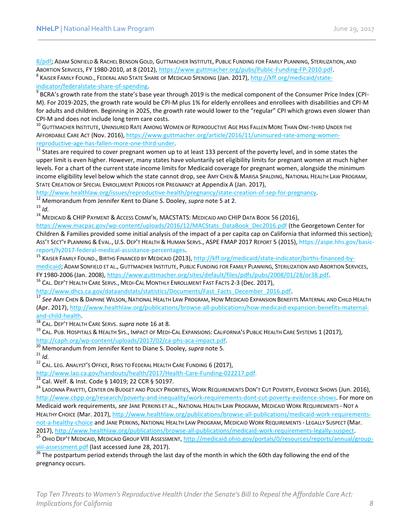[8/pdf;](http://www.whijournal.com/article/S1049-3867%2813%2900055-8/pdf) ADAM SONFIELD & RACHEL BENSON GOLD, GUTTMACHER INSTITUTE, PUBLIC FUNDING FOR FAMILY PLANNING, STERILIZATION, AND ABORTION SERVICES, FY 1980-2010, at 8 (2012), [https://www.guttmacher.org/pubs/Public-Funding-FP-2010.pdf.](https://www.guttmacher.org/pubs/Public-Funding-FP-2010.pdf) <sup>8</sup> Kaiser Family Found., Federal and State Share of Medicaid Spending (Jan. 2017), <u>http://kff.org/medicaid/state-</u> [indicator/federalstate-share-of-spending.](http://kff.org/medicaid/state-indicator/federalstate-share-of-spending)

<sup>9</sup> BCRA's growth rate from the state's base year through 2019 is the medical component of the Consumer Price Index (CPI-M). For 2019-2025, the growth rate would be CPI-M plus 1% for elderly enrollees and enrollees with disabilities and CPI-M for adults and children. Beginning in 2025, the growth rate would lower to the "regular" CPI which grows even slower than CPI-M and does not include long term care costs.

<sup>10</sup> GUTTMACHER INSTITUTE, UNINSURED RATE AMONG WOMEN OF REPRODUCTIVE AGE HAS FALLEN MORE THAN ONE-THIRD UNDER THE AFFORDABLE CARE ACT (Nov. 2016), [https://www.guttmacher.org/article/2016/11/uninsured-rate-among-women](https://www.guttmacher.org/article/2016/11/uninsured-rate-among-women-reproductive-age-has-fallen-more-one-third-under)[reproductive-age-has-fallen-more-one-third-under.](https://www.guttmacher.org/article/2016/11/uninsured-rate-among-women-reproductive-age-has-fallen-more-one-third-under)

<sup>11</sup> States are required to cover pregnant women up to at least 133 percent of the poverty level, and in some states the upper limit is even higher. However, many states have voluntarily set eligibility limits for pregnant women at much higher levels. For a chart of the current state income limits for Medicaid coverage for pregnant women, alongside the minimum income eligibility level below which the state cannot drop, see AMY CHEN & MARISA SPALDING, NATIONAL HEALTH LAW PROGRAM, STATE CREATION OF SPECIAL ENROLLMENT PERIODS FOR PREGNANCY at Appendix A (Jan. 2017),

[http://www.healthlaw.org/issues/reproductive-health/pregnancy/state-creation-of-sep-for-pregnancy.](http://www.healthlaw.org/issues/reproductive-health/pregnancy/state-creation-of-sep-for-pregnancy) 

<sup>12</sup> Memorandum from Jennifer Kent to Diane S. Dooley, *supra* note 5 at 2.

 $13$  *Id.* 

<sup>14</sup> MEDICAID & CHIP PAYMENT & ACCESS COMM'N, MACSTATS: MEDICAID AND CHIP DATA BOOK 56 (2016),

[https://www.macpac.gov/wp-content/uploads/2016/12/MACStats\\_DataBook\\_Dec2016.pdf](https://www.macpac.gov/wp-content/uploads/2016/12/MACStats_DataBook_Dec2016.pdf) (the Georgetown Center for Children & Families provided some initial analysis of the impact of a per capita cap on California that informed this section); ASS'T SECT'Y PLANNING & EVAL., U.S. DEP'T HEALTH & HUMAN SERVS., ASPE FMAP 2017 REPORT 5 (2015), https://aspe.hhs.gov/basicreport/fy2017-federal-medical-assistance-percentages.

<sup>15</sup> KAISER FAMILY FOUND., BIRTHS FINANCED BY MEDICAID (2013), [http://kff.org/medicaid/state-indicator/births-financed-by](http://kff.org/medicaid/state-indicator/births-financed-by-medicaid)[medicaid;](http://kff.org/medicaid/state-indicator/births-financed-by-medicaid) ADAM SONFIELD ET AL., GUTTMACHER INSTITUTE, PUBLIC FUNDING FOR FAMILY PLANNING, STERILIZATION AND ABORTION SERVICES, FY 1980-2006 (Jan. 2008), [https://www.guttmacher.org/sites/default/files/pdfs/pubs/2008/01/28/or38.pdf.](https://www.guttmacher.org/sites/default/files/pdfs/pubs/2008/01/28/or38.pdf)

<sup>16</sup> CAL. DEP'T HEALTH CARE SERVS., MEDI-CAL MONTHLY ENROLLMENT FAST FACTS 2-3 (Dec. 2017),

[http://www.dhcs.ca.gov/dataandstats/statistics/Documents/Fast\\_Facts\\_December\\_2016.pdf.](http://www.dhcs.ca.gov/dataandstats/statistics/Documents/Fast_Facts_December_2016.pdf)

<sup>17</sup> *See* AMY CHEN & DAPHNE WILSON, NATIONAL HEALTH LAW PROGRAM, HOW MEDICAID EXPANSION BENEFITS MATERNAL AND CHILD HEALTH (Apr. 2017), [http://www.healthlaw.org/publications/browse-all-publications/how-medicaid-expansion-benefits-maternal](http://www.healthlaw.org/publications/browse-all-publications/how-medicaid-expansion-benefits-maternal-and-child-health)[and-child-health.](http://www.healthlaw.org/publications/browse-all-publications/how-medicaid-expansion-benefits-maternal-and-child-health)

<sup>18</sup> CAL. DEP'T HEALTH CARE SERVS. *supra* note 16 at 8.

<sup>19</sup> CAL. PUB. HOSPITALS & HEALTH SYS., IMPACT OF MEDI-CAL EXPANSIONS: CALIFORNIA'S PUBLIC HEALTH CARE SYSTEMS 1 (2017), [http://caph.org/wp-content/uploads/2017/02/ca-phs-aca-impact.pdf.](http://caph.org/wp-content/uploads/2017/02/ca-phs-aca-impact.pdf)

<sup>20</sup> Memorandum from Jennifer Kent to Diane S. Dooley, *supra* note 5.

 $^{21}$  *Id.* 

<sup>22</sup> CAL. LEG. ANALYST'S OFFICE, RISKS TO FEDERAL HEALTH CARE FUNDING 6 (2017),

[http://www.lao.ca.gov/handouts/health/2017/Health-Care-Funding-022217.pdf.](http://www.lao.ca.gov/handouts/health/2017/Health-Care-Funding-022217.pdf)

 $\frac{23}{23}$  Cal. Welf. & Inst. Code § 14019; 22 CCR § 50197.

<sup>24</sup> LADONNA PAVETTI, CENTER ON BUDGET AND POLICY PRIORITIES, WORK REQUIREMENTS DON'T CUT POVERTY, EVIDENCE SHOWS (Jun. 2016), [http://www.cbpp.org/research/poverty-and-inequality/work-requirements-dont-cut-poverty-evidence-shows.](http://www.cbpp.org/research/poverty-and-inequality/work-requirements-dont-cut-poverty-evidence-shows) For more on Medicaid work requirements, *see* JANE PERKINS ET AL., NATIONAL HEALTH LAW PROGRAM, MEDICAID WORK REQUIREMENTS - NOT A HEALTHY CHOICE (Mar. 2017)[, http://www.healthlaw.org/publications/browse-all-publications/medicaid-work-requirements](http://www.healthlaw.org/publications/browse-all-publications/medicaid-work-requirements-not-a-healthy-choice)[not-a-healthy-choice](http://www.healthlaw.org/publications/browse-all-publications/medicaid-work-requirements-not-a-healthy-choice) and JANE PERKINS, NATIONAL HEALTH LAW PROGRAM, MEDICAID WORK REQUIREMENTS - LEGALLY SUSPECT (Mar. 2017), [http://www.healthlaw.org/publications/browse-all-publications/medicaid-work-requirements-legally-suspect.](http://www.healthlaw.org/publications/browse-all-publications/medicaid-work-requirements-legally-suspect)

<sup>25</sup> OHIO DEP'T MEDICAID, MEDICAID GROUP VIII ASSESSMENT[, http://medicaid.ohio.gov/portals/0/resources/reports/annual/group](http://medicaid.ohio.gov/portals/0/resources/reports/annual/group-viii-assessment.pdf)[viii-assessment.pdf](http://medicaid.ohio.gov/portals/0/resources/reports/annual/group-viii-assessment.pdf) (last accessed June 28, 2017).

 $\frac{1}{26}$  The postpartum period extends through the last day of the month in which the 60th day following the end of the pregnancy occurs.